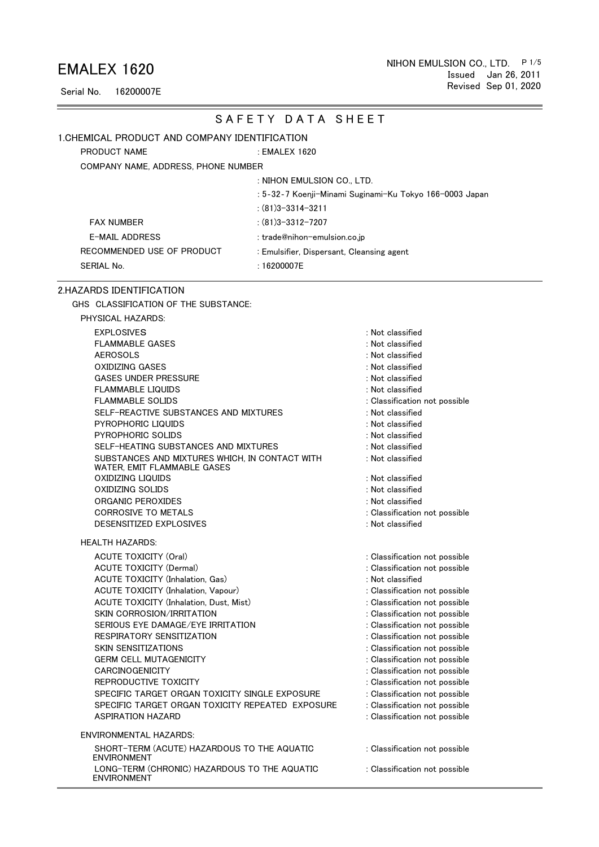Serial No. 16200007E

PRODUCT NAME

#### SAFETY DATA SHEET

#### 1.CHEMICAL PRODUCT AND COMPANY IDENTIFICATION

: EMALEX 1620

COMPANY NAME, ADDRESS, PHONE NUMBER

: NIHON EMULSION CO., LTD.

: 5‐32‐7 Koenji-Minami Suginami-Ku Tokyo 166-0003 Japan

: (81)3-3314-3211

FAX NUMBER : (81)3-3312-7207

E-MAIL ADDRESS : trade@nihon-emulsion.co.jp RECOMMENDED USE OF PRODUCT : Emulsifier, Dispersant, Cleansing agent SERIAL No. 16200007E

#### 2.HAZARDS IDENTIFICATION

ENVIRONMENT

GHS CLASSIFICATION OF THE SUBSTANCE:

| PHYSICAL HAZARDS:                                                             |                               |
|-------------------------------------------------------------------------------|-------------------------------|
| <b>EXPLOSIVES</b>                                                             | : Not classified              |
| <b>FLAMMABLE GASES</b>                                                        | : Not classified              |
| <b>AEROSOLS</b>                                                               | : Not classified              |
| OXIDIZING GASES                                                               | : Not classified              |
| <b>GASES UNDER PRESSURE</b>                                                   | : Not classified              |
| <b>FLAMMABLE LIQUIDS</b>                                                      | : Not classified              |
| <b>FLAMMABLE SOLIDS</b>                                                       | : Classification not possible |
| SELF-REACTIVE SUBSTANCES AND MIXTURES                                         | : Not classified              |
| PYROPHORIC LIQUIDS                                                            | : Not classified              |
| <b>PYROPHORIC SOLIDS</b>                                                      | : Not classified              |
| SELF-HEATING SUBSTANCES AND MIXTURES                                          | : Not classified              |
| SUBSTANCES AND MIXTURES WHICH. IN CONTACT WITH<br>WATER, EMIT FLAMMABLE GASES | : Not classified              |
| OXIDIZING LIQUIDS                                                             | : Not classified              |
| OXIDIZING SOLIDS                                                              | : Not classified              |
| ORGANIC PEROXIDES                                                             | : Not classified              |
| <b>CORROSIVE TO METALS</b>                                                    | : Classification not possible |
| DESENSITIZED EXPLOSIVES                                                       | : Not classified              |
| <b>HEALTH HAZARDS:</b>                                                        |                               |
| <b>ACUTE TOXICITY (Oral)</b>                                                  | : Classification not possible |
| <b>ACUTE TOXICITY (Dermal)</b>                                                | : Classification not possible |
| <b>ACUTE TOXICITY (Inhalation, Gas)</b>                                       | : Not classified              |
| ACUTE TOXICITY (Inhalation, Vapour)                                           | : Classification not possible |
| ACUTE TOXICITY (Inhalation, Dust, Mist)                                       | : Classification not possible |
| <b>SKIN CORROSION/IRRITATION</b>                                              | : Classification not possible |
| SERIOUS EYE DAMAGE/EYE IRRITATION                                             | : Classification not possible |
| RESPIRATORY SENSITIZATION                                                     | : Classification not possible |
| <b>SKIN SENSITIZATIONS</b>                                                    | : Classification not possible |
| <b>GERM CELL MUTAGENICITY</b>                                                 | : Classification not possible |
| <b>CARCINOGENICITY</b>                                                        | : Classification not possible |
| REPRODUCTIVE TOXICITY                                                         | : Classification not possible |
| SPECIFIC TARGET ORGAN TOXICITY SINGLE EXPOSURE                                | : Classification not possible |
| SPECIFIC TARGET ORGAN TOXICITY REPEATED EXPOSURE                              | : Classification not possible |
| <b>ASPIRATION HAZARD</b>                                                      | : Classification not possible |
| <b>ENVIRONMENTAL HAZARDS:</b>                                                 |                               |
| SHORT-TERM (ACUTE) HAZARDOUS TO THE AQUATIC<br><b>ENVIRONMENT</b>             | : Classification not possible |
| LONG-TERM (CHRONIC) HAZARDOUS TO THE AQUATIC                                  | : Classification not possible |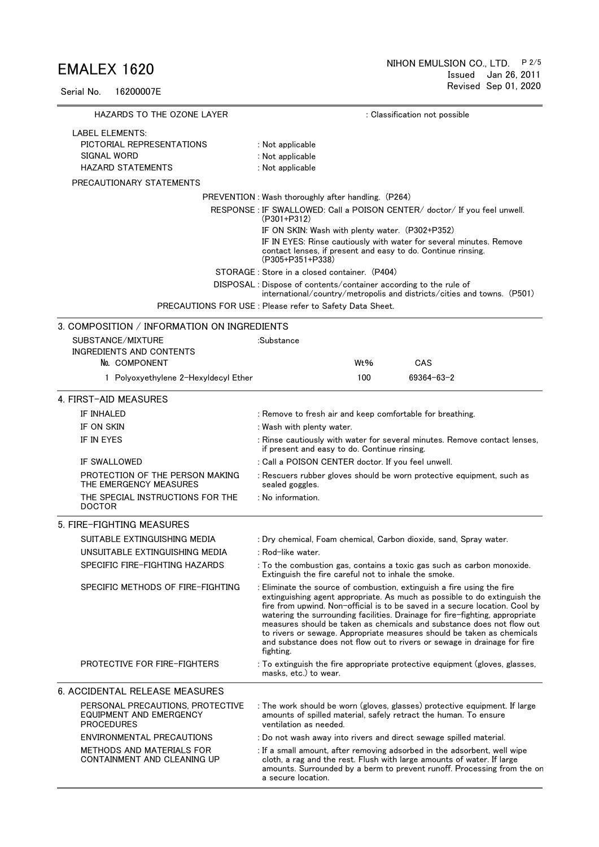Serial No. 16200007E

| HAZARDS TO THE OZONE LAYER                                                       | : Classification not possible                                                                                                                                                                                                                                                                                                                                                                                                                                                                                                                                  |  |  |  |  |
|----------------------------------------------------------------------------------|----------------------------------------------------------------------------------------------------------------------------------------------------------------------------------------------------------------------------------------------------------------------------------------------------------------------------------------------------------------------------------------------------------------------------------------------------------------------------------------------------------------------------------------------------------------|--|--|--|--|
| <b>LABEL ELEMENTS:</b>                                                           |                                                                                                                                                                                                                                                                                                                                                                                                                                                                                                                                                                |  |  |  |  |
| PICTORIAL REPRESENTATIONS                                                        | : Not applicable                                                                                                                                                                                                                                                                                                                                                                                                                                                                                                                                               |  |  |  |  |
| SIGNAL WORD                                                                      | : Not applicable                                                                                                                                                                                                                                                                                                                                                                                                                                                                                                                                               |  |  |  |  |
| <b>HAZARD STATEMENTS</b>                                                         | : Not applicable                                                                                                                                                                                                                                                                                                                                                                                                                                                                                                                                               |  |  |  |  |
| PRECAUTIONARY STATEMENTS                                                         |                                                                                                                                                                                                                                                                                                                                                                                                                                                                                                                                                                |  |  |  |  |
|                                                                                  | PREVENTION: Wash thoroughly after handling. (P264)                                                                                                                                                                                                                                                                                                                                                                                                                                                                                                             |  |  |  |  |
|                                                                                  | RESPONSE : IF SWALLOWED: Call a POISON CENTER/ doctor/ If you feel unwell.<br>$(P301+P312)$                                                                                                                                                                                                                                                                                                                                                                                                                                                                    |  |  |  |  |
|                                                                                  | IF ON SKIN: Wash with plenty water. (P302+P352)                                                                                                                                                                                                                                                                                                                                                                                                                                                                                                                |  |  |  |  |
|                                                                                  | IF IN EYES: Rinse cautiously with water for several minutes. Remove<br>contact lenses, if present and easy to do. Continue rinsing.<br>$(P305+P351+P338)$                                                                                                                                                                                                                                                                                                                                                                                                      |  |  |  |  |
|                                                                                  | STORAGE: Store in a closed container. (P404)                                                                                                                                                                                                                                                                                                                                                                                                                                                                                                                   |  |  |  |  |
|                                                                                  | DISPOSAL : Dispose of contents/container according to the rule of<br>international/country/metropolis and districts/cities and towns. (P501)                                                                                                                                                                                                                                                                                                                                                                                                                   |  |  |  |  |
|                                                                                  | PRECAUTIONS FOR USE : Please refer to Safety Data Sheet.                                                                                                                                                                                                                                                                                                                                                                                                                                                                                                       |  |  |  |  |
| 3. COMPOSITION / INFORMATION ON INGREDIENTS                                      |                                                                                                                                                                                                                                                                                                                                                                                                                                                                                                                                                                |  |  |  |  |
| SUBSTANCE/MIXTURE                                                                | :Substance                                                                                                                                                                                                                                                                                                                                                                                                                                                                                                                                                     |  |  |  |  |
| INGREDIENTS AND CONTENTS                                                         |                                                                                                                                                                                                                                                                                                                                                                                                                                                                                                                                                                |  |  |  |  |
| No. COMPONENT                                                                    | Wt%<br>CAS                                                                                                                                                                                                                                                                                                                                                                                                                                                                                                                                                     |  |  |  |  |
| 1 Polyoxyethylene 2-Hexyldecyl Ether                                             | 100<br>$69364 - 63 - 2$                                                                                                                                                                                                                                                                                                                                                                                                                                                                                                                                        |  |  |  |  |
| 4. FIRST-AID MEASURES                                                            |                                                                                                                                                                                                                                                                                                                                                                                                                                                                                                                                                                |  |  |  |  |
| IF INHALED                                                                       | : Remove to fresh air and keep comfortable for breathing.                                                                                                                                                                                                                                                                                                                                                                                                                                                                                                      |  |  |  |  |
| IF ON SKIN                                                                       | : Wash with plenty water.                                                                                                                                                                                                                                                                                                                                                                                                                                                                                                                                      |  |  |  |  |
| IF IN EYES                                                                       | : Rinse cautiously with water for several minutes. Remove contact lenses,<br>if present and easy to do. Continue rinsing.                                                                                                                                                                                                                                                                                                                                                                                                                                      |  |  |  |  |
| <b>IF SWALLOWED</b>                                                              | : Call a POISON CENTER doctor. If you feel unwell.                                                                                                                                                                                                                                                                                                                                                                                                                                                                                                             |  |  |  |  |
| PROTECTION OF THE PERSON MAKING<br>THE EMERGENCY MEASURES                        | : Rescuers rubber gloves should be worn protective equipment, such as<br>sealed goggles.                                                                                                                                                                                                                                                                                                                                                                                                                                                                       |  |  |  |  |
| THE SPECIAL INSTRUCTIONS FOR THE<br><b>DOCTOR</b>                                | : No information.                                                                                                                                                                                                                                                                                                                                                                                                                                                                                                                                              |  |  |  |  |
| 5. FIRE-FIGHTING MEASURES                                                        |                                                                                                                                                                                                                                                                                                                                                                                                                                                                                                                                                                |  |  |  |  |
| SUITABLE EXTINGUISHING MEDIA                                                     | : Dry chemical, Foam chemical, Carbon dioxide, sand, Spray water.                                                                                                                                                                                                                                                                                                                                                                                                                                                                                              |  |  |  |  |
| UNSUITABLE EXTINGUISHING MEDIA                                                   | : Rod−like water.                                                                                                                                                                                                                                                                                                                                                                                                                                                                                                                                              |  |  |  |  |
| SPECIFIC FIRE-FIGHTING HAZARDS                                                   | : To the combustion gas, contains a toxic gas such as carbon monoxide.<br>Extinguish the fire careful not to inhale the smoke.                                                                                                                                                                                                                                                                                                                                                                                                                                 |  |  |  |  |
| SPECIFIC METHODS OF FIRE-FIGHTING                                                | : Eliminate the source of combustion, extinguish a fire using the fire<br>extinguishing agent appropriate. As much as possible to do extinguish the<br>fire from upwind. Non-official is to be saved in a secure location. Cool by<br>watering the surrounding facilities. Drainage for fire-fighting, appropriate<br>measures should be taken as chemicals and substance does not flow out<br>to rivers or sewage. Appropriate measures should be taken as chemicals<br>and substance does not flow out to rivers or sewage in drainage for fire<br>fighting. |  |  |  |  |
| <b>PROTECTIVE FOR FIRE-FIGHTERS</b>                                              | : To extinguish the fire appropriate protective equipment (gloves, glasses,<br>masks, etc.) to wear.                                                                                                                                                                                                                                                                                                                                                                                                                                                           |  |  |  |  |
| <b>6. ACCIDENTAL RELEASE MEASURES</b>                                            |                                                                                                                                                                                                                                                                                                                                                                                                                                                                                                                                                                |  |  |  |  |
| PERSONAL PRECAUTIONS, PROTECTIVE<br>EQUIPMENT AND EMERGENCY<br><b>PROCEDURES</b> | : The work should be worn (gloves, glasses) protective equipment. If large<br>amounts of spilled material, safely retract the human. To ensure<br>ventilation as needed.                                                                                                                                                                                                                                                                                                                                                                                       |  |  |  |  |
| ENVIRONMENTAL PRECAUTIONS                                                        | : Do not wash away into rivers and direct sewage spilled material.                                                                                                                                                                                                                                                                                                                                                                                                                                                                                             |  |  |  |  |
| METHODS AND MATERIALS FOR<br>CONTAINMENT AND CLEANING UP                         | : If a small amount, after removing adsorbed in the adsorbent, well wipe<br>cloth, a rag and the rest. Flush with large amounts of water. If large<br>amounts. Surrounded by a berm to prevent runoff. Processing from the on<br>a secure location.                                                                                                                                                                                                                                                                                                            |  |  |  |  |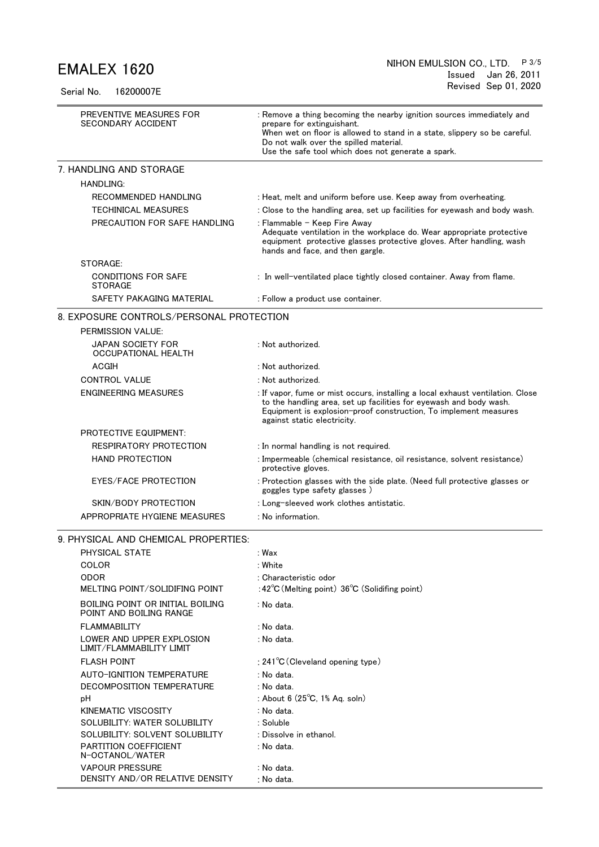Serial No. 16200007E

| PREVENTIVE MEASURES FOR<br>SECONDARY ACCIDENT               | : Remove a thing becoming the nearby ignition sources immediately and<br>prepare for extinguishant.<br>When wet on floor is allowed to stand in a state, slippery so be careful.<br>Do not walk over the spilled material.<br>Use the safe tool which does not generate a spark. |
|-------------------------------------------------------------|----------------------------------------------------------------------------------------------------------------------------------------------------------------------------------------------------------------------------------------------------------------------------------|
| 7. HANDLING AND STORAGE                                     |                                                                                                                                                                                                                                                                                  |
| <b>HANDLING:</b>                                            |                                                                                                                                                                                                                                                                                  |
| RECOMMENDED HANDLING                                        | : Heat, melt and uniform before use. Keep away from overheating.                                                                                                                                                                                                                 |
| <b>TECHINICAL MEASURES</b>                                  | : Close to the handling area, set up facilities for eyewash and body wash.                                                                                                                                                                                                       |
| PRECAUTION FOR SAFE HANDLING                                | : Flammable - Keep Fire Awav<br>Adequate ventilation in the workplace do. Wear appropriate protective<br>equipment protective glasses protective gloves. After handling, wash<br>hands and face, and then gargle.                                                                |
| STORAGE:                                                    |                                                                                                                                                                                                                                                                                  |
| <b>CONDITIONS FOR SAFE</b><br><b>STORAGE</b>                | : In well-ventilated place tightly closed container. Away from flame.                                                                                                                                                                                                            |
| SAFETY PAKAGING MATERIAL                                    | : Follow a product use container.                                                                                                                                                                                                                                                |
| 8. EXPOSURE CONTROLS/PERSONAL PROTECTION                    |                                                                                                                                                                                                                                                                                  |
| PERMISSION VALUE:                                           |                                                                                                                                                                                                                                                                                  |
| JAPAN SOCIETY FOR<br>OCCUPATIONAL HEALTH                    | : Not authorized.                                                                                                                                                                                                                                                                |
| ACGIH                                                       | : Not authorized.                                                                                                                                                                                                                                                                |
| <b>CONTROL VALUE</b>                                        | : Not authorized.                                                                                                                                                                                                                                                                |
| <b>ENGINEERING MEASURES</b>                                 | : If vapor, fume or mist occurs, installing a local exhaust ventilation. Close<br>to the handling area, set up facilities for eyewash and body wash.<br>Equipment is explosion-proof construction, To implement measures<br>against static electricity.                          |
| <b>PROTECTIVE EQUIPMENT:</b>                                |                                                                                                                                                                                                                                                                                  |
| RESPIRATORY PROTECTION                                      | : In normal handling is not required.                                                                                                                                                                                                                                            |
| <b>HAND PROTECTION</b>                                      | : Impermeable (chemical resistance, oil resistance, solvent resistance)<br>protective gloves.                                                                                                                                                                                    |
| EYES/FACE PROTECTION                                        | : Protection glasses with the side plate. (Need full protective glasses or<br>goggles type safety glasses)                                                                                                                                                                       |
| SKIN/BODY PROTECTION                                        | : Long-sleeved work clothes antistatic.                                                                                                                                                                                                                                          |
| APPROPRIATE HYGIENE MEASURES                                | : No information.                                                                                                                                                                                                                                                                |
| 9. PHYSICAL AND CHEMICAL PROPERTIES:                        |                                                                                                                                                                                                                                                                                  |
| PHYSICAL STATE                                              | : Wax                                                                                                                                                                                                                                                                            |
| COLOR                                                       | : White                                                                                                                                                                                                                                                                          |
| <b>ODOR</b>                                                 | : Characteristic odor                                                                                                                                                                                                                                                            |
| MELTING POINT/SOLIDIFING POINT                              | :42°C (Melting point) 36°C (Solidifing point)                                                                                                                                                                                                                                    |
| BOILING POINT OR INITIAL BOILING<br>POINT AND BOILING RANGE | : No data.                                                                                                                                                                                                                                                                       |
| <b>FLAMMABILITY</b>                                         | : No data.                                                                                                                                                                                                                                                                       |
| LOWER AND UPPER EXPLOSION<br>LIMIT/FLAMMABILITY LIMIT       | : No data.                                                                                                                                                                                                                                                                       |
| <b>FLASH POINT</b>                                          | : $241^{\circ}$ C (Cleveland opening type)                                                                                                                                                                                                                                       |
| <b>AUTO-IGNITION TEMPERATURE</b>                            | : No data.                                                                                                                                                                                                                                                                       |
| DECOMPOSITION TEMPERATURE                                   | : No data.                                                                                                                                                                                                                                                                       |
| рH                                                          | : About 6 (25°C, 1% Aq. soln)                                                                                                                                                                                                                                                    |
| KINEMATIC VISCOSITY                                         | : No data.                                                                                                                                                                                                                                                                       |
| SOLUBILITY: WATER SOLUBILITY                                | : Soluble                                                                                                                                                                                                                                                                        |
| SOLUBILITY: SOLVENT SOLUBILITY                              | : Dissolve in ethanol.                                                                                                                                                                                                                                                           |
| <b>PARTITION COEFFICIENT</b><br>N-OCTANOL/WATER             | : No data.                                                                                                                                                                                                                                                                       |
| <b>VAPOUR PRESSURE</b>                                      | : No data.                                                                                                                                                                                                                                                                       |
| DENSITY AND/OR RELATIVE DENSITY                             | : No data.                                                                                                                                                                                                                                                                       |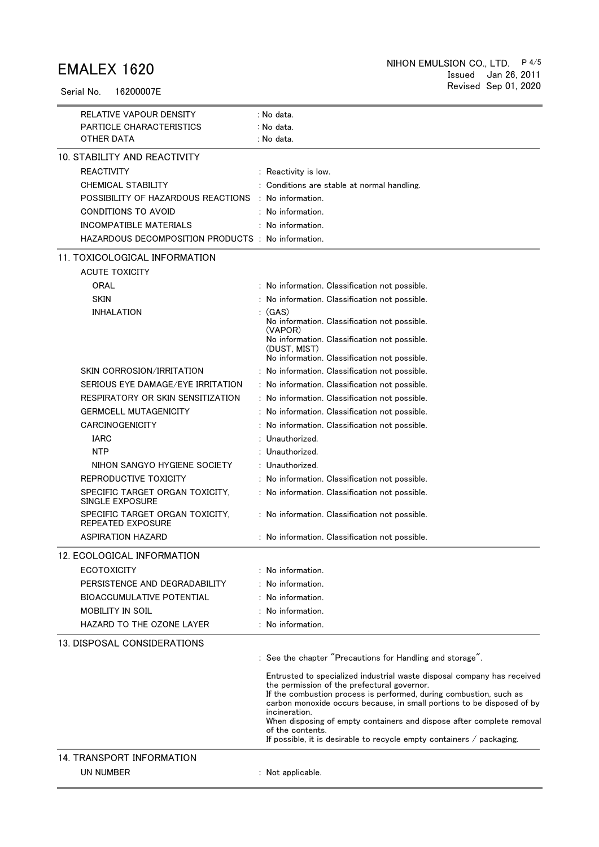Serial No. 16200007E

| RELATIVE VAPOUR DENSITY                                     | : No data.                                                                                                                                                                                                                                                                                                                                                                                                                                                         |
|-------------------------------------------------------------|--------------------------------------------------------------------------------------------------------------------------------------------------------------------------------------------------------------------------------------------------------------------------------------------------------------------------------------------------------------------------------------------------------------------------------------------------------------------|
| PARTICLE CHARACTERISTICS                                    | : No data.                                                                                                                                                                                                                                                                                                                                                                                                                                                         |
| OTHER DATA                                                  | : No data.                                                                                                                                                                                                                                                                                                                                                                                                                                                         |
| 10. STABILITY AND REACTIVITY                                |                                                                                                                                                                                                                                                                                                                                                                                                                                                                    |
| <b>REACTIVITY</b>                                           | : Reactivity is low.                                                                                                                                                                                                                                                                                                                                                                                                                                               |
| <b>CHEMICAL STABILITY</b>                                   | : Conditions are stable at normal handling.                                                                                                                                                                                                                                                                                                                                                                                                                        |
| POSSIBILITY OF HAZARDOUS REACTIONS                          | : No information.                                                                                                                                                                                                                                                                                                                                                                                                                                                  |
| CONDITIONS TO AVOID                                         | : No information.                                                                                                                                                                                                                                                                                                                                                                                                                                                  |
| <b>INCOMPATIBLE MATERIALS</b>                               | $:$ No information.                                                                                                                                                                                                                                                                                                                                                                                                                                                |
| HAZARDOUS DECOMPOSITION PRODUCTS : No information.          |                                                                                                                                                                                                                                                                                                                                                                                                                                                                    |
| 11. TOXICOLOGICAL INFORMATION                               |                                                                                                                                                                                                                                                                                                                                                                                                                                                                    |
| <b>ACUTE TOXICITY</b>                                       |                                                                                                                                                                                                                                                                                                                                                                                                                                                                    |
| ORAL                                                        | : No information. Classification not possible.                                                                                                                                                                                                                                                                                                                                                                                                                     |
| <b>SKIN</b>                                                 | : No information. Classification not possible.                                                                                                                                                                                                                                                                                                                                                                                                                     |
| <b>INHALATION</b>                                           | (GAS)                                                                                                                                                                                                                                                                                                                                                                                                                                                              |
|                                                             | No information. Classification not possible.                                                                                                                                                                                                                                                                                                                                                                                                                       |
|                                                             | (VAPOR)<br>No information. Classification not possible.                                                                                                                                                                                                                                                                                                                                                                                                            |
|                                                             | (DUST, MIST)                                                                                                                                                                                                                                                                                                                                                                                                                                                       |
|                                                             | No information. Classification not possible.                                                                                                                                                                                                                                                                                                                                                                                                                       |
| SKIN CORROSION/IRRITATION                                   | : No information. Classification not possible.                                                                                                                                                                                                                                                                                                                                                                                                                     |
| SERIOUS EYE DAMAGE/EYE IRRITATION                           | : No information. Classification not possible.                                                                                                                                                                                                                                                                                                                                                                                                                     |
| RESPIRATORY OR SKIN SENSITIZATION                           | : No information. Classification not possible.                                                                                                                                                                                                                                                                                                                                                                                                                     |
| <b>GERMCELL MUTAGENICITY</b>                                | : No information. Classification not possible.                                                                                                                                                                                                                                                                                                                                                                                                                     |
| <b>CARCINOGENICITY</b>                                      | : No information. Classification not possible.                                                                                                                                                                                                                                                                                                                                                                                                                     |
| <b>IARC</b>                                                 | Unauthorized.                                                                                                                                                                                                                                                                                                                                                                                                                                                      |
| <b>NTP</b>                                                  | : Unauthorized.                                                                                                                                                                                                                                                                                                                                                                                                                                                    |
| NIHON SANGYO HYGIENE SOCIETY                                | : Unauthorized.                                                                                                                                                                                                                                                                                                                                                                                                                                                    |
| REPRODUCTIVE TOXICITY                                       | : No information. Classification not possible.                                                                                                                                                                                                                                                                                                                                                                                                                     |
| SPECIFIC TARGET ORGAN TOXICITY.<br>SINGLE EXPOSURE          | : No information. Classification not possible.                                                                                                                                                                                                                                                                                                                                                                                                                     |
| SPECIFIC TARGET ORGAN TOXICITY,<br><b>REPEATED EXPOSURE</b> | : No information. Classification not possible.                                                                                                                                                                                                                                                                                                                                                                                                                     |
| ASPIRATION HAZARD                                           | : No information. Classification not possible.                                                                                                                                                                                                                                                                                                                                                                                                                     |
| 12. ECOLOGICAL INFORMATION                                  |                                                                                                                                                                                                                                                                                                                                                                                                                                                                    |
| <b>ECOTOXICITY</b>                                          | $:$ No information.                                                                                                                                                                                                                                                                                                                                                                                                                                                |
| PERSISTENCE AND DEGRADABILITY                               | : No information.                                                                                                                                                                                                                                                                                                                                                                                                                                                  |
| <b>BIOACCUMULATIVE POTENTIAL</b>                            | : No information.                                                                                                                                                                                                                                                                                                                                                                                                                                                  |
| <b>MOBILITY IN SOIL</b>                                     | : No information.                                                                                                                                                                                                                                                                                                                                                                                                                                                  |
| HAZARD TO THE OZONE LAYER                                   | : No information.                                                                                                                                                                                                                                                                                                                                                                                                                                                  |
| 13. DISPOSAL CONSIDERATIONS                                 |                                                                                                                                                                                                                                                                                                                                                                                                                                                                    |
|                                                             | : See the chapter "Precautions for Handling and storage".                                                                                                                                                                                                                                                                                                                                                                                                          |
|                                                             | Entrusted to specialized industrial waste disposal company has received<br>the permission of the prefectural governor.<br>If the combustion process is performed, during combustion, such as<br>carbon monoxide occurs because, in small portions to be disposed of by<br>incineration.<br>When disposing of empty containers and dispose after complete removal<br>of the contents.<br>If possible, it is desirable to recycle empty containers $\ell$ packaging. |
| 14. TRANSPORT INFORMATION                                   |                                                                                                                                                                                                                                                                                                                                                                                                                                                                    |
| <b>UN NUMBER</b>                                            | : Not applicable.                                                                                                                                                                                                                                                                                                                                                                                                                                                  |